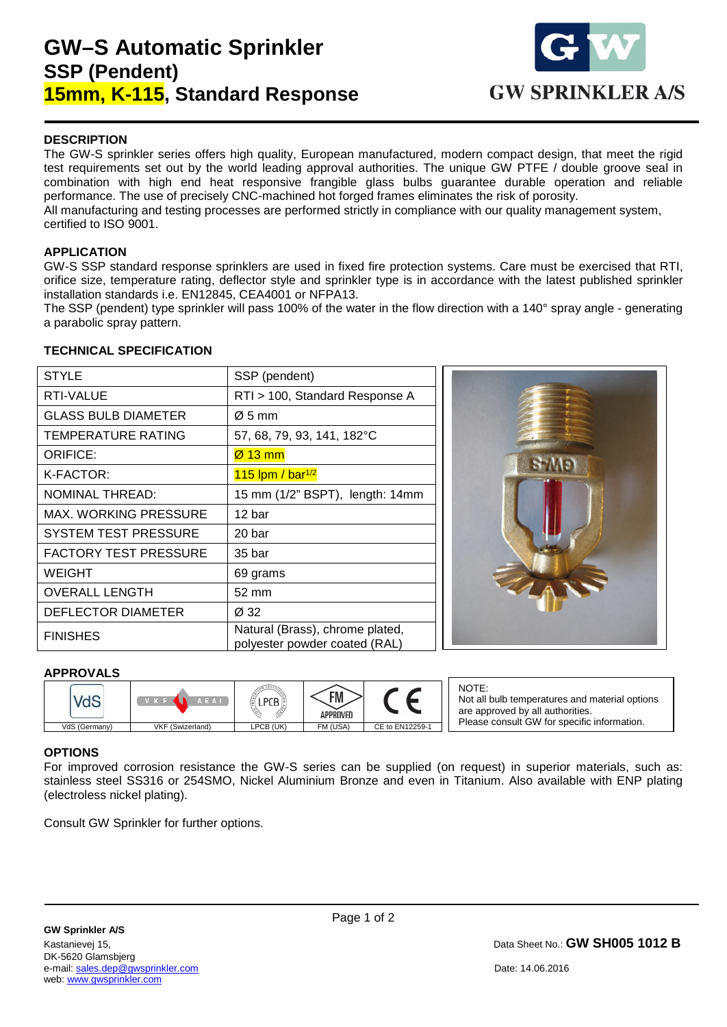# **GW–S Automatic Sprinkler SSP (Pendent) 15mm, K-115, Standard Response**



### **DESCRIPTION**

The GW-S sprinkler series offers high quality, European manufactured, modern compact design, that meet the rigid test requirements set out by the world leading approval authorities. The unique GW PTFE / double groove seal in combination with high end heat responsive frangible glass bulbs guarantee durable operation and reliable performance. The use of precisely CNC-machined hot forged frames eliminates the risk of porosity. All manufacturing and testing processes are performed strictly in compliance with our quality management system, certified to ISO 9001.

### **APPLICATION**

GW-S SSP standard response sprinklers are used in fixed fire protection systems. Care must be exercised that RTI, orifice size, temperature rating, deflector style and sprinkler type is in accordance with the latest published sprinkler installation standards i.e. EN12845, CEA4001 or NFPA13.

The SSP (pendent) type sprinkler will pass 100% of the water in the flow direction with a 140° spray angle - generating a parabolic spray pattern.

### **TECHNICAL SPECIFICATION**

| <b>STYLE</b>                 | SSP (pendent)                                                    |
|------------------------------|------------------------------------------------------------------|
| <b>RTI-VALUE</b>             | RTI > 100, Standard Response A                                   |
| <b>GLASS BULB DIAMETER</b>   | $\varnothing$ 5 mm                                               |
| TEMPERATURE RATING           | 57, 68, 79, 93, 141, 182°C                                       |
| <b>ORIFICE:</b>              | $\varnothing$ 13 mm                                              |
| K-FACTOR:                    | $115$ lpm / bar <sup>1/2</sup>                                   |
| <b>NOMINAL THREAD:</b>       | 15 mm (1/2" BSPT), length: 14mm                                  |
| MAX. WORKING PRESSURE        | 12 bar                                                           |
| <b>SYSTEM TEST PRESSURE</b>  | 20 bar                                                           |
| <b>FACTORY TEST PRESSURE</b> | 35 bar                                                           |
| <b>WEIGHT</b>                | 69 grams                                                         |
| <b>OVERALL LENGTH</b>        | 52 mm                                                            |
| DEFLECTOR DIAMETER           | Ø 32                                                             |
| <b>FINISHES</b>              | Natural (Brass), chrome plated,<br>polyester powder coated (RAL) |



### **APPROVALS**



NOTE: Not all bulb temperatures and material options are approved by all authorities. Please consult GW for specific information.

### **OPTIONS**

1

For improved corrosion resistance the GW-S series can be supplied (on request) in superior materials, such as: stainless steel SS316 or 254SMO, Nickel Aluminium Bronze and even in Titanium. Also available with ENP plating (electroless nickel plating).

Consult GW Sprinkler for further options.